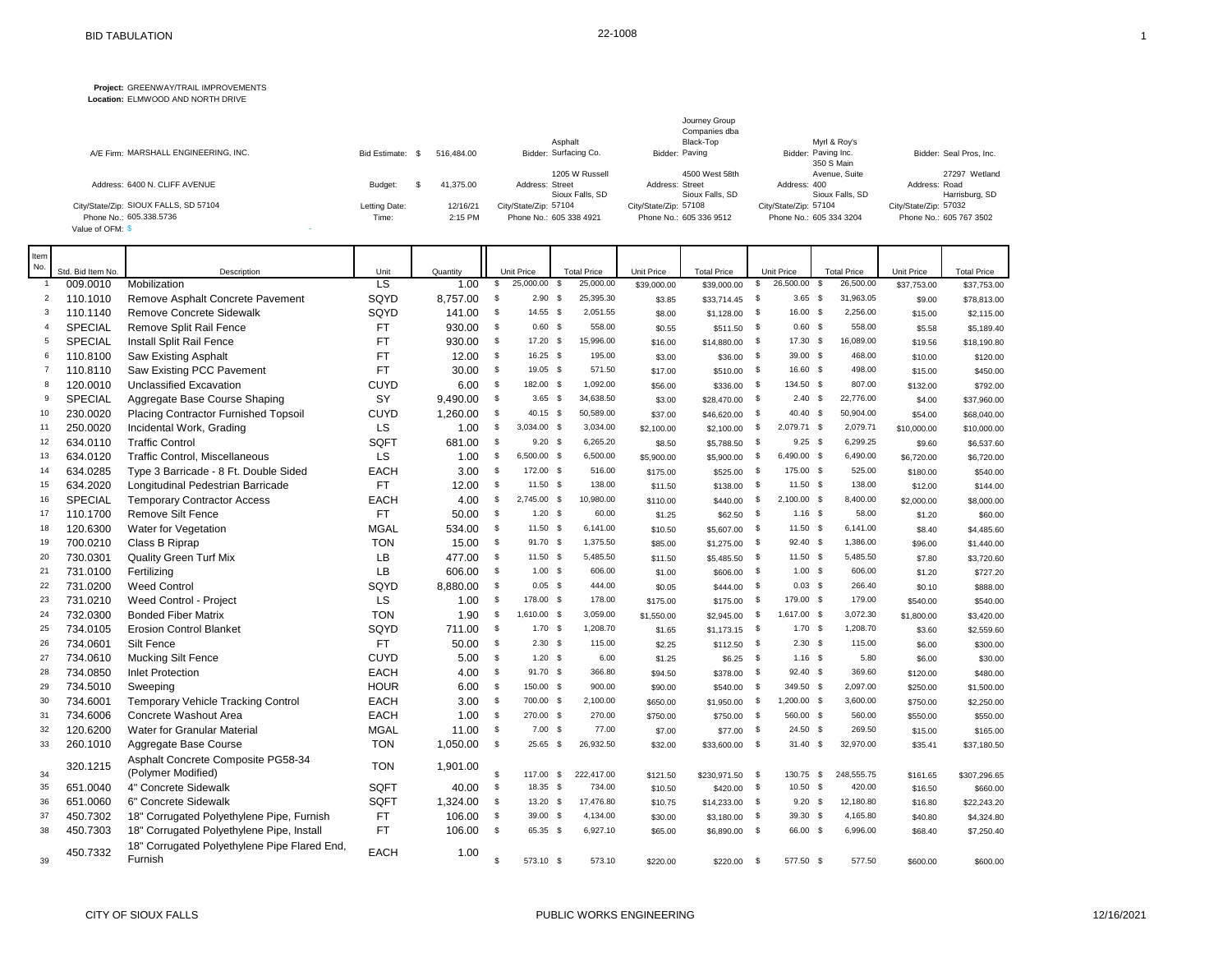## **Project:** GREENWAY/TRAIL IMPROVEMENTS

**Location:** ELMWOOD AND NORTH DRIVE

|                                       |                      |            |                         | Journey Group<br>Companies dba |                                   |                         |
|---------------------------------------|----------------------|------------|-------------------------|--------------------------------|-----------------------------------|-------------------------|
|                                       |                      |            | Asphalt                 | Black-Top                      | Myrl & Roy's                      |                         |
| A/E Firm: MARSHALL ENGINEERING, INC.  | <b>Bid Estimate:</b> | 516.484.00 | Bidder: Surfacing Co.   | Bidder: Paving                 | Bidder: Paving Inc.<br>350 S Main | Bidder: Seal Pros. Inc. |
|                                       |                      |            | 1205 W Russell          | 4500 West 58th                 | Avenue, Suite                     | 27297 Wetland           |
| Address: 6400 N. CLIFF AVENUE         | Budget:              | 41.375.00  | Address: Street         | Address: Street                | Address: 400                      | Address: Road           |
|                                       |                      |            | Sioux Falls, SD         | Sioux Falls, SD                | Sioux Falls, SD                   | Harrisburg, SD          |
| City/State/Zip: SIOUX FALLS, SD 57104 | Letting Date:        | 12/16/21   | City/State/Zip: 57104   | City/State/Zip: 57108          | City/State/Zip: 57104             | City/State/Zip: 57032   |
| Phone No.: 605.338.5736               | Time:                | 2:15 PM    | Phone No.: 605 338 4921 | Phone No.: 605 336 9512        | Phone No.: 605 334 3204           | Phone No.: 605 767 3502 |
| Value of OFM: \$                      |                      |            |                         |                                |                                   |                         |

| Item           |                   |                                                          |                          |          |              |                   |              |                    |             |                    |              |             |                       |        |             |                    |
|----------------|-------------------|----------------------------------------------------------|--------------------------|----------|--------------|-------------------|--------------|--------------------|-------------|--------------------|--------------|-------------|-----------------------|--------|-------------|--------------------|
| No.            | Std. Bid Item No. | Description                                              | Unit                     | Quantity |              | <b>Unit Price</b> |              | <b>Total Price</b> | Unit Price  | <b>Total Price</b> |              | Unit Price  | <b>Total Price</b>    |        | Unit Price  | <b>Total Price</b> |
| -1             | 009.0010          | Mobilization                                             | $\overline{\mathsf{LS}}$ | 1.00     | \$           | 25,000.00         | \$           | 25,000.00          | \$39,000.00 | \$39,000.00        | \$           | 26,500.00   | 26,500.00<br><b>S</b> |        | \$37,753.00 | \$37,753.00        |
| 2              | 110.1010          | Remove Asphalt Concrete Pavement                         | SQYD                     | 8,757.00 | $\mathbb S$  | $2.90$ \$         |              | 25,395.30          | \$3.85      | \$33,714.45        | $\mathbf{s}$ | $3.65$ \$   | 31,963.05             |        | \$9.00      | \$78,813.00        |
| 3              | 110.1140          | <b>Remove Concrete Sidewalk</b>                          | SQYD                     | 141.00   | $\mathbb S$  | $14.55$ \$        |              | 2,051.55           | \$8.00      | \$1,128.00         | \$           | 16.00 \$    | 2,256.00              |        | \$15.00     | \$2,115.00         |
| $\overline{4}$ | SPECIAL           | Remove Split Rail Fence                                  | FT                       | 930.00   | \$           | 0.60 <sup>5</sup> |              | 558.00             | \$0.55      | \$511.50           | \$           | $0.60$ \$   |                       | 558.00 | \$5.58      | \$5,189.40         |
| 5              | SPECIAL           | Install Split Rail Fence                                 | <b>FT</b>                | 930.00   | <b>S</b>     | 17.20 \$          |              | 15,996.00          | \$16.00     | \$14,880.00        | $^{\circ}$   | 17.30 \$    | 16,089.00             |        | \$19.56     | \$18,190.80        |
| 6              | 110.8100          | Saw Existing Asphalt                                     | <b>FT</b>                | 12.00    | \$           | 16.25 \$          |              | 195.00             | \$3.00      | \$36.00            | \$           | 39.00 \$    |                       | 468.00 | \$10.00     | \$120.00           |
| $\overline{7}$ | 110.8110          | Saw Existing PCC Pavement                                | <b>FT</b>                | 30.00    | \$           | 19.05 \$          |              | 571.50             | \$17.00     | \$510.00           | \$           | 16.60 \$    |                       | 498.00 | \$15.00     | \$450.00           |
| 8              | 120.0010          | <b>Unclassified Excavation</b>                           | <b>CUYD</b>              | 6.00     | \$           | 182.00 \$         |              | 1,092.00           | \$56.00     | \$336.00           | \$           | 134.50 \$   |                       | 807.00 | \$132.00    | \$792.00           |
| 9              | SPECIAL           | Aggregate Base Course Shaping                            | SY                       | 9,490.00 | \$           | $3.65$ \$         |              | 34,638.50          | \$3.00      | \$28,470.00        | \$           | $2.40$ \$   | 22,776.00             |        | \$4.00      | \$37,960.00        |
| 10             | 230.0020          | Placing Contractor Furnished Topsoil                     | <b>CUYD</b>              | 1,260.00 | \$           | 40.15 \$          |              | 50,589.00          | \$37.00     | \$46,620.00        | \$           | 40.40 \$    | 50,904.00             |        | \$54.00     | \$68,040.00        |
| 11             | 250.0020          | Incidental Work, Grading                                 | LS                       | 1.00     | $\mathbb S$  | 3,034.00 \$       |              | 3,034.00           | \$2,100.00  | \$2,100.00         | \$           | 2,079.71 \$ | 2,079.71              |        | \$10,000.00 | \$10,000.00        |
| 12             | 634.0110          | <b>Traffic Control</b>                                   | SQFT                     | 681.00   | \$           | $9.20$ \$         |              | 6,265.20           | \$8.50      | \$5,788.50         | $\mathbb{S}$ | $9.25$ \$   | 6,299.25              |        | \$9.60      | \$6,537.60         |
| 13             | 634.0120          | <b>Traffic Control, Miscellaneous</b>                    | LS                       | 1.00     | \$           | 6,500.00 \$       |              | 6,500.00           | \$5,900.00  | \$5,900.00         | - \$         | 6,490.00 \$ | 6,490.00              |        | \$6,720.00  | \$6,720.00         |
| 14             | 634.0285          | Type 3 Barricade - 8 Ft. Double Sided                    | <b>EACH</b>              | 3.00     | \$           | 172.00 \$         |              | 516.00             | \$175.00    | \$525.00           | $\mathbb{S}$ | 175.00 \$   |                       | 525.00 | \$180.00    | \$540.00           |
| 15             | 634.2020          | Longitudinal Pedestrian Barricade                        | <b>FT</b>                | 12.00    | \$           | 11.50 \$          |              | 138.00             | \$11.50     | \$138.00           | \$           | $11.50$ \$  |                       | 138.00 | \$12.00     | \$144.00           |
| 16             | <b>SPECIAL</b>    | <b>Temporary Contractor Access</b>                       | <b>EACH</b>              | 4.00     | \$           | 2,745.00 \$       |              | 10,980.00          | \$110.00    | \$440.00           | \$           | 2,100.00 \$ | 8,400.00              |        | \$2,000.00  | \$8,000.00         |
| 17             | 110.1700          | <b>Remove Silt Fence</b>                                 | <b>FT</b>                | 50.00    | \$           | $1.20$ \$         |              | 60.00              | \$1.25      | \$62.50            | $\mathbb{S}$ | $1.16$ \$   |                       | 58.00  | \$1.20      | \$60.00            |
| 18             | 120.6300          | Water for Vegetation                                     | <b>MGAL</b>              | 534.00   | \$           | 11.50 \$          |              | 6,141.00           | \$10.50     | \$5,607.00         | - \$         | $11.50$ \$  | 6,141.00              |        | \$8.40      | \$4,485.60         |
| 19             | 700.0210          | Class B Riprap                                           | <b>TON</b>               | 15.00    | \$           | 91.70 \$          |              | 1,375.50           | \$85.00     | \$1,275.00         | \$           | 92.40 \$    | 1,386.00              |        | \$96.00     | \$1,440.00         |
| 20             | 730.0301          | <b>Quality Green Turf Mix</b>                            | LB                       | 477.00   | <b>S</b>     | $11.50$ \$        |              | 5,485.50           | \$11.50     | \$5,485.50         | $\mathbb{S}$ | $11.50$ \$  | 5,485.50              |        | \$7.80      | \$3,720.60         |
| 21             | 731.0100          | Fertilizing                                              | LB                       | 606.00   | \$           | 1.00S             |              | 606.00             | \$1.00      | \$606.00           | \$           | 1.00S       |                       | 606.00 | \$1.20      | \$727.20           |
| 22             | 731.0200          | <b>Weed Control</b>                                      | SQYD                     | 8,880.00 | \$           | $0.05$ \$         |              | 444.00             | \$0.05      | \$444.00           | $\mathbb{S}$ | $0.03$ \$   |                       | 266.40 | \$0.10      | \$888.00           |
| 23             | 731.0210          | Weed Control - Project                                   | LS                       | 1.00     | \$           | 178.00 \$         |              | 178.00             | \$175.00    | \$175.00           | \$           | 179.00 \$   |                       | 179.00 | \$540.00    | \$540.00           |
| 24             | 732.0300          | <b>Bonded Fiber Matrix</b>                               | <b>TON</b>               | 1.90     | \$           | 1,610.00 \$       |              | 3,059.00           | \$1,550.00  | \$2,945.00         | \$           | 1,617.00 \$ | 3,072.30              |        | \$1,800.00  | \$3,420.00         |
| 25             | 734.0105          | <b>Erosion Control Blanket</b>                           | SQYD                     | 711.00   | $\mathbb S$  | $1.70$ \$         |              | 1,208.70           | \$1.65      | \$1,173.15         | $\mathbf{s}$ | $1.70$ \$   | 1,208.70              |        | \$3.60      | \$2,559.60         |
| 26             | 734.0601          | Silt Fence                                               | <b>FT</b>                | 50.00    | $\mathbb S$  | 2.30 <sup>5</sup> |              | 115.00             | \$2.25      | \$112.50           | - \$         | $2.30$ \$   |                       | 115.00 | \$6.00      | \$300.00           |
| 27             | 734.0610          | <b>Mucking Silt Fence</b>                                | <b>CUYD</b>              | 5.00     | \$           | $1.20$ \$         |              | 6.00               | \$1.25      | \$6.25             | - \$         | $1.16$ \$   |                       | 5.80   | \$6.00      | \$30.00            |
| 28             | 734.0850          | <b>Inlet Protection</b>                                  | <b>EACH</b>              | 4.00     | \$           | 91.70 \$          |              | 366.80             | \$94.50     | \$378.00           | - \$         | 92.40 \$    |                       | 369.60 | \$120.00    | \$480.00           |
| 29             | 734.5010          | Sweeping                                                 | <b>HOUR</b>              | 6.00     | \$           | 150.00 \$         |              | 900.00             | \$90.00     | \$540.00           | - \$         | 349.50 \$   | 2,097.00              |        | \$250.00    | \$1,500.00         |
| 30             | 734.6001          | <b>Temporary Vehicle Tracking Control</b>                | <b>EACH</b>              | 3.00     | \$           | 700.00 \$         |              | 2,100.00           | \$650.00    | \$1,950.00         | \$           | 1,200.00 \$ | 3,600.00              |        | \$750.00    | \$2,250.00         |
| 31             | 734.6006          | Concrete Washout Area                                    | <b>EACH</b>              | 1.00     | $\sqrt{3}$   | 270.00 \$         |              | 270.00             | \$750.00    | \$750.00           | \$           | 560.00 \$   |                       | 560.00 | \$550.00    | \$550.00           |
| 32             | 120.6200          | <b>Water for Granular Material</b>                       | <b>MGAL</b>              | 11.00    | \$           | $7.00$ \$         |              | 77.00              | \$7.00      | \$77.00            | - \$         | 24.50 \$    |                       | 269.50 | \$15.00     | \$165.00           |
| 33             | 260.1010          | Aggregate Base Course                                    | <b>TON</b>               | 1,050.00 | \$           | 25.65             | $\mathbb{S}$ | 26,932.50          | \$32.00     | \$33,600.00        | \$           | 31.40       | \$<br>32,970.00       |        | \$35.41     | \$37,180.50        |
| 34             | 320.1215          | Asphalt Concrete Composite PG58-34<br>(Polymer Modified) | <b>TON</b>               | 1,901.00 | \$           | 117.00            | <b>S</b>     | 222,417.00         | \$121.50    | \$230,971.50       | - \$         | 130.75 \$   | 248,555.75            |        | \$161.65    | \$307,296.65       |
| 35             | 651.0040          | 4" Concrete Sidewalk                                     | SQFT                     | 40.00    | \$           | 18.35 \$          |              | 734.00             | \$10.50     | \$420.00           | - \$         | $10.50$ \$  |                       | 420.00 | \$16.50     | \$660.00           |
| 36             | 651.0060          | 6" Concrete Sidewalk                                     | SQFT                     | 1,324.00 | \$           | $13.20$ \$        |              | 17,476.80          | \$10.75     | \$14,233.00        | - \$         | $9.20\quad$ | 12,180.80             |        | \$16.80     | \$22,243.20        |
| 37             | 450.7302          | 18" Corrugated Polyethylene Pipe, Furnish                | <b>FT</b>                | 106.00   | \$           | 39.00 \$          |              | 4,134.00           | \$30.00     | \$3,180.00         | - \$         | 39.30 \$    | 4,165.80              |        | \$40.80     | \$4,324.80         |
| 38             | 450.7303          | 18" Corrugated Polyethylene Pipe, Install                | <b>FT</b>                | 106.00   | \$           | 65.35 \$          |              | 6,927.10           | \$65.00     | \$6,890.00         | \$           | 66.00 \$    | 6,996.00              |        | \$68.40     | \$7,250.40         |
| 39             | 450.7332          | 18" Corrugated Polyethylene Pipe Flared End,<br>Furnish  | <b>EACH</b>              | 1.00     | $\mathbf{s}$ | 573.10 \$         |              | 573.10             | \$220.00    | \$220.00           | \$           | 577.50 \$   |                       | 577.50 | \$600.00    | \$600.00           |